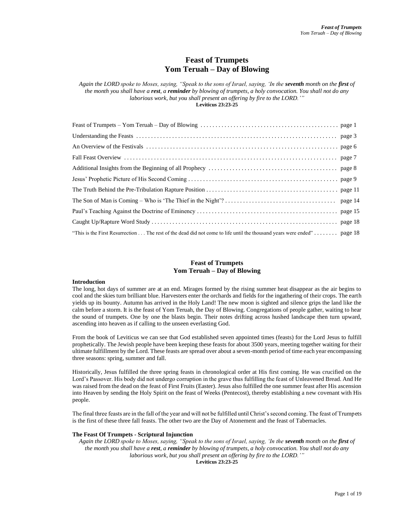# **Feast of Trumpets Yom Teruah – Day of Blowing**

*Again the LORD spoke to Moses, saying, "Speak to the sons of Israel, saying, 'In the seventh month on the first of the month you shall have a rest, a reminder by blowing of trumpets, a holy convocation. You shall not do any*  laborious work, but you shall present an offering by fire to the LORD.'" **Leviticus 23:23-25**

| "This is the First Resurrection The rest of the dead did not come to life until the thousand years were ended" page 18 |  |
|------------------------------------------------------------------------------------------------------------------------|--|

# **Feast of Trumpets Yom Teruah – Day of Blowing**

# **Introduction**

The long, hot days of summer are at an end. Mirages formed by the rising summer heat disappear as the air begins to cool and the skies turn brilliant blue. Harvesters enter the orchards and fields for the ingathering of their crops. The earth yields up its bounty. Autumn has arrived in the Holy Land! The new moon is sighted and silence grips the land like the calm before a storm. It is the feast of Yom Teruah, the Day of Blowing. Congregations of people gather, waiting to hear the sound of trumpets. One by one the blasts begin. Their notes drifting across hushed landscape then turn upward, ascending into heaven as if calling to the unseen everlasting God.

From the book of Leviticus we can see that God established seven appointed times (feasts) for the Lord Jesus to fulfill prophetically. The Jewish people have been keeping these feasts for about 3500 years, meeting together waiting for their ultimate fulfillment by the Lord. These feasts are spread over about a seven-month period of time each year encompassing three seasons: spring, summer and fall.

Historically, Jesus fulfilled the three spring feasts in chronological order at His first coming. He was crucified on the Lord's Passover. His body did not undergo corruption in the grave thus fulfilling the feast of Unleavened Bread. And He was raised from the dead on the feast of First Fruits (Easter). Jesus also fulfilled the one summer feast after His ascension into Heaven by sending the Holy Spirit on the feast of Weeks (Pentecost), thereby establishing a new covenant with His people.

The final three feasts are in the fall of the year and will not be fulfilled until Christ's second coming. The feast of Trumpets is the first of these three fall feasts. The other two are the Day of Atonement and the feast of Tabernacles.

## **The Feast Of Trumpets - Scriptural Injunction**

*Again the LORD spoke to Moses, saying, "Speak to the sons of Israel, saying, 'In the seventh month on the first of the month you shall have a rest, a reminder by blowing of trumpets, a holy convocation. You shall not do any laborious work, but you shall present an offering by fire to the LORD.'"* 

**Leviticus 23:23-25**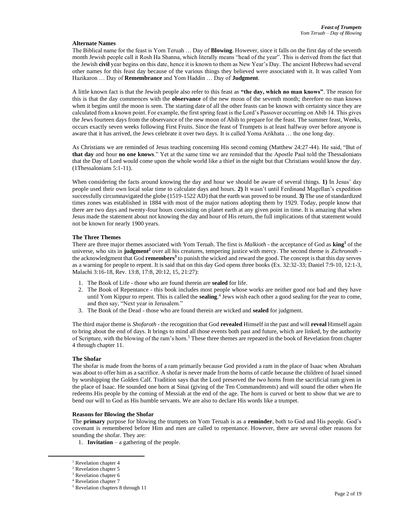#### **Alternate Names**

The Biblical name for the feast is Yom Teruah … Day of **Blowing**. However, since it falls on the first day of the seventh month Jewish people call it Rosh Ha Shanna, which literally means "head of the year". This is derived from the fact that the Jewish **civil** year begins on this date, hence it is known to them as New Year's Day. The ancient Hebrews had several other names for this feast day because of the various things they believed were associated with it. It was called Yom Hazikaron … Day of **Remembrance** and Yom Haddin … Day of **Judgment**.

A little known fact is that the Jewish people also refer to this feast as **"the day, which no man knows"**. The reason for this is that the day commences with the **observance** of the new moon of the seventh month; therefore no man knows when it begins until the moon is seen. The starting date of all the other feasts can be known with certainty since they are calculated from a known point. For example, the first spring feast is the Lord's Passover occurring on Abib 14. This gives the Jews fourteen days from the observance of the new moon of Abib to prepare for the feast. The summer feast, Weeks, occurs exactly seven weeks following First Fruits. Since the feast of Trumpets is at least halfway over before anyone is aware that it has arrived, the Jews celebrate it over two days. It is called Yoma Arikhata … the one long day.

As Christians we are reminded of Jesus teaching concerning His second coming (Matthew 24:27-44). He said, "But of **that day** and hour **no one knows**." Yet at the same time we are reminded that the Apostle Paul told the Thessalonians that the Day of Lord would come upon the whole world like a thief in the night but that Christians would know the day. (1Thessalonians 5:1-11).

When considering the facts around knowing the day and hour we should be aware of several things. **1)** In Jesus' day people used their own local solar time to calculate days and hours. **2)** It wasn't until Ferdinand Magellan's expedition successfully circumnavigated the globe (1519-1522 AD) that the earth was proved to be round. **3)** The use of standardized times zones was established in 1884 with most of the major nations adopting them by 1929. Today, people know that there are two days and twenty-four hours coexisting on planet earth at any given point in time. It is amazing that when Jesus made the statement about not knowing the day and hour of His return, the full implications of that statement would not be known for nearly 1900 years.

## **The Three Themes**

There are three major themes associated with Yom Teruah. The first is *Malkioth* - the acceptance of God as **king<sup>1</sup>** of the universe, who sits in **judgment<sup>2</sup>** over all his creatures, tempering justice with mercy. The second theme is *Zichronoth* the acknowledgment that God **remembers<sup>3</sup>** to punish the wicked and reward the good. The concept is that this day serves as a warning for people to repent. It is said that on this day God opens three books (Ex. 32:32-33; Daniel 7:9-10, 12:1-3, Malachi 3:16-18, Rev. 13:8, 17:8, 20:12, 15, 21:27):

- 1. The Book of Life those who are found therein are **sealed** for life.
- 2. The Book of Repentance this book includes most people whose works are neither good nor bad and they have until Yom Kippur to repent. This is called the **sealing**. 4 Jews wish each other a good sealing for the year to come, and then say, "Next year in Jerusalem."
- 3. The Book of the Dead those who are found therein are wicked and **sealed** for judgment.

The third major theme is *Shofaroth* - the recognition that God **revealed** Himself in the past and will **reveal** Himself again to bring about the end of days. It brings to mind all those events both past and future, which are linked, by the authority of Scripture, with the blowing of the ram's horn.<sup>5</sup> These three themes are repeated in the book of Revelation from chapter 4 through chapter 11.

# **The Shofar**

The shofar is made from the horns of a ram primarily because God provided a ram in the place of Isaac when Abraham was about to offer him as a sacrifice. A shofar is never made from the horns of cattle because the children of Israel sinned by worshipping the Golden Calf. Tradition says that the Lord preserved the two horns from the sacrificial ram given in the place of Isaac. He sounded one horn at Sinai (giving of the Ten Commandments) and will sound the other when He redeems His people by the coming of Messiah at the end of the age. The horn is curved or bent to show that we are to bend our will to God as His humble servants. We are also to declare His words like a trumpet.

### **Reasons for Blowing the Shofar**

The **primary** purpose for blowing the trumpets on Yom Teruah is as a **reminder**, both to God and His people. God's covenant is remembered before Him and men are called to repentance. However, there are several other reasons for sounding the shofar. They are:

1. **Invitation** – a gathering of the people.

<sup>&</sup>lt;sup>1</sup> Revelation chapter 4

<sup>2</sup> Revelation chapter 5

<sup>&</sup>lt;sup>3</sup> Revelation chapter 6

<sup>4</sup> Revelation chapter 7 <sup>5</sup> Revelation chapters 8 through 11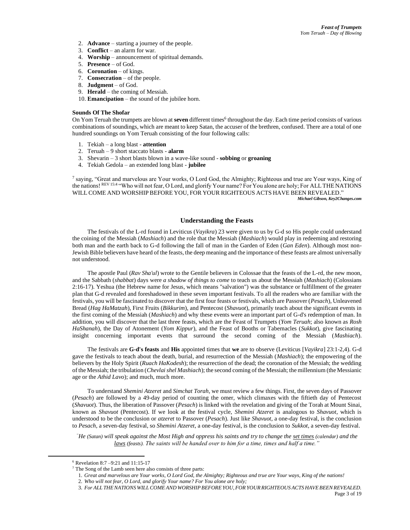- 2. **Advance** starting a journey of the people.
- 3. **Conflict** an alarm for war.
- 4. **Worship** announcement of spiritual demands.
- 5. **Presence** of God.
- 6. **Coronation** of kings.
- 7. **Consecration** of the people.
- 8. **Judgment** of God.
- 9. **Herald** the coming of Messiah.
- 10. **Emancipation** the sound of the jubilee horn.

## **Sounds Of The Shofar**

On Yom Teruah the trumpets are blown at **seven** different times<sup>6</sup> throughout the day. Each time period consists of various combinations of soundings, which are meant to keep Satan, the accuser of the brethren, confused. There are a total of one hundred soundings on Yom Teruah consisting of the four following calls:

- 1. Tekiah a long blast **attention**
- 2. Teruah 9 short staccato blasts **alarm**
- 3. Shevarin 3 short blasts blown in a wave-like sound **sobbing** or **groaning**
- 4. Tekiah Gedola an extended long blast **jubilee**

7 saying, "Great and marvelous are Your works, O Lord God, the Almighty; Righteous and true are Your ways, King of the nations! REV 15:4 "Who will not fear, O Lord, and glorify Your name? For You alone are holy; For ALLTHE NATIONS WILL COME AND WORSHIP BEFORE YOU, FOR YOUR RIGHTEOUS ACTS HAVE BEEN REVEALED." *Michael Gibson, Key2Changes.com*

# **Understanding the Feasts**

The festivals of the L-rd found in Leviticus (*Vayikra*) 23 were given to us by G-d so His people could understand the coining of the Messiah (*Mashiach*) and the role that the Messiah (*Mashiach*) would play in redeeming and restoring both man and the earth back to G-d following the fall of man in the Garden of Eden (*Gan Eden*). Although most non-Jewish Bible believers have heard of the feasts, the deep meaning and the importance of these feasts are almost universally not understood.

The apostle Paul (*Rav Sha'ul*) wrote to the Gentile believers in Colossae that the feasts of the L-rd, the new moon, and the Sabbath (*shabbat*) days were *a shadow of things to come* to teach us about the Messiah (*Mashiach*) (Colossians 2:16-17). Yeshua (the Hebrew name for Jesus, which means "salvation") was the substance or fulfillment of the greater plan that G-d revealed and foreshadowed in these seven important festivals. To all the readers who are familiar with the festivals, you will be fascinated to discover that the first four feasts or festivals, which are Passover (*Pesach*), Unleavened Bread (*Hag HaMatzah*), First Fruits (*Bikkurim*), and Pentecost (*Shavuot*), primarily teach about the significant events in the first coming of the Messiah (*Mashiach*) and why these events were an important part of G-d's redemption of man. In addition, you will discover that the last three feasts, which are the Feast of Trumpets (*Yom Teruah*; also known as *Rosh HaShanah*), the Day of Atonement (*Yom Kippur*), and the Feast of Booths or Tabernacles (*Sukkot*), give fascinating insight concerning important events that surround the second coming of the Messiah (*Mashiach*).

The festivals are **G-d's feasts** and **His** appointed times that **we** are to observe (Leviticus [*Vayikra*] 23:1-2,4). G-d gave the festivals to teach about the death, burial, and resurrection of the Messiah (*Mashiach*); the empowering of the believers by the Holy Spirit (*Ruach HaKodesh*); the resurrection of the dead; the coronation of the Messiah; the wedding of the Messiah; the tribulation (*Chevlai shel Mashiach*); the second coming of the Messiah; the millennium (the Messianic age or the *Athid Lavo*); and much, much more.

To understand *Shemini Atzeret* and *Simchat Torah*, we must review a few things. First, the seven days of Passover (*Pesach*) are followed by a 49-day period of counting the omer, which climaxes with the fiftieth day of Pentecost (*Shavuot*). Thus, the liberation of Passover (*Pesach*) is linked with the revelation and giving of the Torah at Mount Sinai, known as *Shavuot* (Pentecost). If we look at the festival cycle, *Shemini Atzeret* is analogous to *Shavuot*, which is understood to be the conclusion or *atzeret* to Passover (*Pesach*). Just like *Shavuot*, a one-day festival, is the conclusion to *Pesach*, a seven-day festival, so *Shemini Atzeret*, a one-day festival, is the conclusion to *Sukkot*, a seven-day festival.

*"He (Satan) will speak against the Most High and oppress his saints and try to change the set times (calendar) and the laws (feasts). The saints will be handed over to him for a time, times and half a time."*

<sup>6</sup> Revelation 8:7 –9:21 and 11:15-17

 $7$  The Song of the Lamb seen here also consists of three parts:

<sup>1.</sup> *Great and marvelous are Your works, O Lord God, the Almighty; Righteous and true are Your ways, King of the nations!* 

<sup>2.</sup> *Who will not fear, O Lord, and glorify Your name? For You alone are holy;* 

<sup>3.</sup> *For ALL THENATIONS WILLCOME AND WORSHIPBEFOREYOU,FOR YOURRIGHTEOUS ACTS HAVEBEENREVEALED.*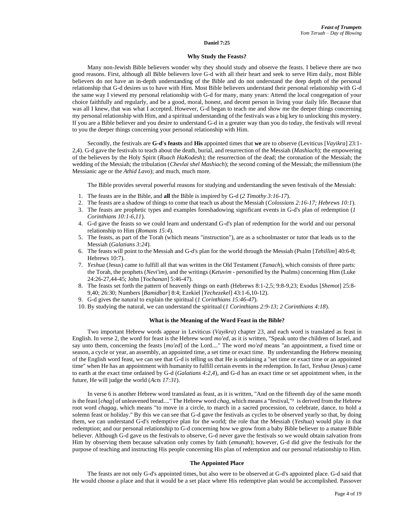#### **Daniel 7:25**

#### **Why Study the Feasts?**

Many non-Jewish Bible believers wonder why they should study and observe the feasts. I believe there are two good reasons. First, although all Bible believers love G-d with all their heart and seek to serve Him daily, most Bible believers do not have an in-depth understanding of the Bible and do not understand the deep depth of the personal relationship that G-d desires us to have with Him. Most Bible believers understand their personal relationship with G-d the same way I viewed my personal relationship with G-d for many, many years: Attend the local congregation of your choice faithfully and regularly, and be a good, moral, honest, and decent person in living your daily life. Because that was all I knew, that was what I accepted. However, G-d began to teach me and show me the deeper things concerning my personal relationship with Him, and a spiritual understanding of the festivals was a big key to unlocking this mystery. If you are a Bible believer and you desire to understand G-d in a greater way than you do today, the festivals will reveal to you the deeper things concerning your personal relationship with Him.

Secondly, the festivals are **G-d's feasts** and **His** appointed times that **we** are to observe (Leviticus [*Vayikra*] 23:1- 2,4). G-d gave the festivals to teach about the death, burial, and resurrection of the Messiah (*Mashiach*); the empowering of the believers by the Holy Spirit (*Ruach HaKodesh*); the resurrection of the dead; the coronation of the Messiah; the wedding of the Messiah; the tribulation (*Chevlai shel Mashiach*); the second coming of the Messiah; the millennium (the Messianic age or the *Athid Lavo*); and much, much more.

The Bible provides several powerful reasons for studying and understanding the seven festivals of the Messiah:

- 1. The feasts are in the Bible, and **all** the Bible is inspired by G-d (*2 Timothy 3:16-17*).
- 2. The feasts are a shadow of things to come that teach us about the Messiah (*Colossians 2:16-17; Hebrews 10:1*).
- 3. The feasts are prophetic types and examples foreshadowing significant events in G-d's plan of redemption (*1 Corinthians 10:1-6,11*).
- 4. G-d gave the feasts so we could learn and understand G-d's plan of redemption for the world and our personal relationship to Him (*Romans 15:4*).
- 5. The feasts, as part of the Torah (which means "instruction"), are as a schoolmaster or tutor that leads us to the Messiah (*Galatians 3:24*).
- 6. The feasts will point to the Messiah and G-d's plan for the world through the Messiah (Psalm [*Tehillim*] 40:6-8; Hebrews 10:7).
- 7. *Yeshua* (Jesus) came to fulfill all that was written in the Old Testament (*Tanach*), which consists of three parts: the Torah, the prophets (*Nevi'im*), and the writings (*Ketuvim* - personified by the Psalms) concerning Him (Luke 24:26-27,44-45; John [*Yochanan*] 5:46-47).
- 8. The feasts set forth the pattern of heavenly things on earth (Hebrews 8:1-2,5; 9:8-9,23; Exodus [*Shemot*] 25:8- 9,40; 26:30; Numbers [*Bamidbar*] 8:4; Ezekiel [*Yechezekel*] 43:1-6,10-12).
- 9. G-d gives the natural to explain the spiritual (*1 Corinthians 15:46-47*).
- 10. By studying the natural, we can understand the spiritual (*1 Corinthians 2:9-13; 2 Corinthians 4:18*).

#### **What is the Meaning of the Word Feast in the Bible?**

Two important Hebrew words appear in Leviticus (*Vayikra*) chapter 23, and each word is translated as feast in English. In verse 2, the word for feast is the Hebrew word *mo'ed*, as it is written, "Speak unto the children of Israel, and say unto them, concerning the feasts [*mo'ed*] of the Lord...." The word *mo'ed* means "an appointment, a fixed time or season, a cycle or year, an assembly, an appointed time, a set time or exact time. By understanding the Hebrew meaning of the English word feast, we can see that G-d is telling us that He is ordaining a "set time or exact time or an appointed time" when He has an appointment with humanity to fulfill certain events in the redemption. In fact, *Yeshua* (Jesus) came to earth at the exact time ordained by G-d (*Galatians 4:2,4*), and G-d has an exact time or set appointment when, in the future, He will judge the world (*Acts 17:31*).

In verse 6 is another Hebrew word translated as feast, as it is written, "And on the fifteenth day of the same month is the feast [*chag*] of unleavened bread...." The Hebrew word *chag*, which means a "festival,"<sup>3</sup> is derived from the Hebrew root word *chagag*, which means "to move in a circle, to march in a sacred procession, to celebrate, dance, to hold a solemn feast or holiday." By this we can see that G-d gave the festivals as cycles to be observed yearly so that, by doing them, we can understand G-d's redemptive plan for the world; the role that the Messiah (*Yeshua*) would play in that redemption; and our personal relationship to G-d concerning how we grow from a baby Bible believer to a mature Bible believer. Although G-d gave us the festivals to observe, G-d never gave the festivals so we would obtain salvation from Him by observing them because salvation only comes by faith (*emunah*); however, G-d did give the festivals for the purpose of teaching and instructing His people concerning His plan of redemption and our personal relationship to Him.

#### **The Appointed Place**

The feasts are not only G-d's appointed times, but also were to be observed at G-d's appointed place. G-d said that He would choose a place and that it would be a set place where His redemptive plan would be accomplished. Passover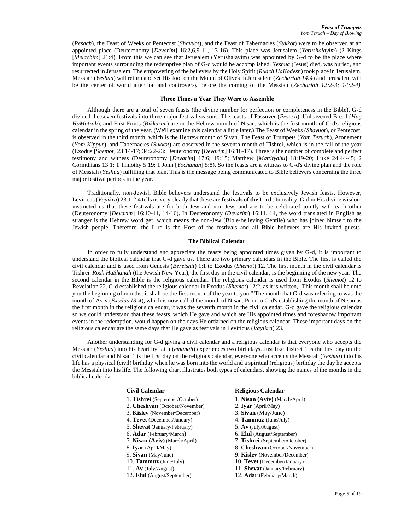(*Pesach*), the Feast of Weeks or Pentecost (*Shavuot*), and the Feast of Tabernacles (*Sukkot*) were to be observed at an appointed place (Deuteronomy [*Devarim*] 16:2,6,9-11, 13-16). This place was Jerusalem (*Yerushalayim*) (2 Kings [*Melachim*] 21:4). From this we can see that Jerusalem (Yerushalayim) was appointed by G-d to be the place where important events surrounding the redemptive plan of G-d would be accomplished. *Yeshua* (Jesus) died, was buried, and resurrected in Jerusalem. The empowering of the believers by the Holy Spirit (*Ruach HaKodesh*) took place in Jerusalem. Messiah (*Yeshua*) will return and set His foot on the Mount of Olives in Jerusalem (*Zechariah 14:4*) and Jerusalem will be the center of world attention and controversy before the coming of the Messiah (*Zechariah 12:2-3; 14:2-4).*

# **Three Times a Year They Were to Assemble**

Although there are a total of seven feasts (the divine number for perfection or completeness in the Bible), G-d divided the seven festivals into three major festival seasons. The feasts of Passover (*Pesach*), Unleavened Bread (*Hag HaMatzah*), and First Fruits (*Bikkurim*) are in the Hebrew month of Nisan, which is the first month of G-d's religious calendar in the spring of the year. (We'll examine this calendar a little later.) The Feast of Weeks (*Shavuot*), or Pentecost, is observed in the third month, which is the Hebrew month of Sivan. The Feast of Trumpets (*Yom Teruah*), Atonement (*Yom Kippur*), and Tabernacles (*Sukkot*) are observed in the seventh month of Tishrei, which is in the fall of the year (Exodus [*Shemot*] 23:14-17; 34:22-23: Deuteronomy [*Devarim*] 16:16-17). Three is the number of complete and perfect testimony and witness (Deuteronomy [*Devarim*] 17:6; 19:15; Matthew [*Mattityahu*] 18:19-20; Luke 24:44-45; 2 Corinthians 13:1; 1 Timothy 5:19; 1 John [*Yochanan*] 5:8). So the feasts are a witness to G-d's divine plan and the role of Messiah (*Yeshua*) fulfilling that plan. This is the message being communicated to Bible believers concerning the three major festival periods in the year.

Traditionally, non-Jewish Bible believers understand the festivals to be exclusively Jewish feasts. However, Leviticus (*Vayikra*) 23:1-2,4 tells us very clearly that these are **festivals of the L-rd** . In reality, G-d in His divine wisdom instructed us that these festivals are for both Jew and non-Jew, and are to be celebrated jointly with each other (Deuteronomy [*Devarim*] 16:10-11, 14-16). In Deuteronomy (*Devarim*) 16:11, 14, the word translated in English as stranger is the Hebrew word ger, which means the non-Jew (Bible-believing Gentile) who has joined himself to the Jewish people. Therefore, the L-rd is the Host of the festivals and all Bible believers are His invited guests.

# **The Biblical Calendar**

In order to fully understand and appreciate the feasts being appointed times given by G-d, it is important to understand the biblical calendar that G-d gave us. There are two primary calendars in the Bible. The first is called the civil calendar and is used from Genesis (*Bereishit*) 1:1 to Exodus (*Shemot*) 12. The first month in the civil calendar is Tishrei. *Rosh HaShanah* (the Jewish New Year), the first day in the civil calendar, is the beginning of the new year. The second calendar in the Bible is the religious calendar. The religious calendar is used from Exodus (*Shemot*) 12 to Revelation 22. G-d established the religious calendar in Exodus (*Shemot*) 12:2, as it is written, "This month shall be unto you the beginning of months: it shall be the first month of the year to you." The month that G-d was referring to was the month of Aviv (*Exodus 13:4*), which is now called the month of Nisan. Prior to G-d's establishing the month of Nisan as the first month in the religious calendar, it was the seventh month in the civil calendar. G-d gave the religious calendar so we could understand that these feasts, which He gave and which are His appointed times and foreshadow important events in the redemption, would happen on the days He ordained on the religious calendar. These important days on the religious calendar are the same days that He gave as festivals in Leviticus (*Vayikra*) 23.

Another understanding for G-d giving a civil calendar and a religious calendar is that everyone who accepts the Messiah (*Yeshua*) into his heart by faith (*emunah*) experiences two birthdays. Just like Tishrei 1 is the first day on the civil calendar and Nisan 1 is the first day on the religious calendar, everyone who accepts the Messiah (*Yeshua*) into his life has a physical (civil) birthday when he was born into the world and a spiritual (religious) birthday the day he accepts the Messiah into his life. The following chart illustrates both types of calendars, showing the names of the months in the biblical calendar.

- 
- 2. **Cheshvan** (October/November) 2. **Iyar** (April/May)
- 3. **Kislev** (November/December) 3. **Sivan** (May/June)
- 4. **Tevet** (December/January) 4. **Tammuz** (June/July)
- 5. **Shevat** (January/February) 5. **Av** (July/August)
- 
- 
- 
- 
- 
- 
- 12. **Elul** (August/September) 12. **Adar** (February/March)

# **Civil Calendar Religious Calendar**

- 1. **Tishrei** (September/October) 1. **Nisan (Aviv)** (March/April)
	-
	-
	-
	-
- 6. **Adar** (February/March) 6. **Elul** (August/September)
- 7. **Nisan (Aviv)** (March/April) 7. **Tishrei** (September/October)
- 8. **Iyar** (April/May) 8. **Cheshvan** (October/November)
- 9. **Sivan** (May/June) 9. **Kislev** (November/December)
- 10. **Tammuz** (June/July) 10. **Tevet** (December/January)
- 11. **Av** (July/August) 11. **Shevat** (January/February)
	-
	-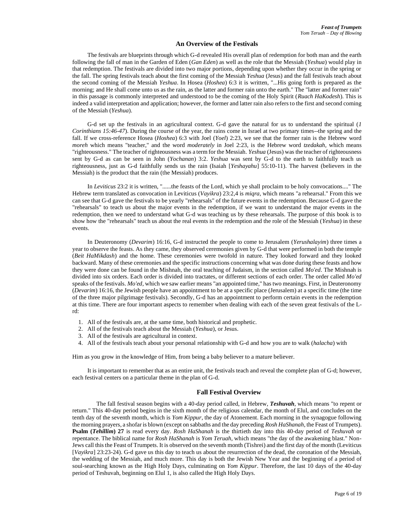# **An Overview of the Festivals**

The festivals are blueprints through which G-d revealed His overall plan of redemption for both man and the earth following the fall of man in the Garden of Eden (*Gan Eden*) as well as the role that the Messiah (*Yeshua*) would play in that redemption. The festivals are divided into two major portions, depending upon whether they occur in the spring or the fall. The spring festivals teach about the first coming of the Messiah *Yeshua* (Jesus) and the fall festivals teach about the second coming of the Messiah *Yeshua*. In Hosea (*Hoshea*) 6:3 it is written, "...His going forth is prepared as the morning; and He shall come unto us as the rain, as the latter and former rain unto the earth." The "latter and former rain" in this passage is commonly interpreted and understood to be the coming of the Holy Spirit (*Ruach HaKodesh*). This is indeed a valid interpretation and application; however, the former and latter rain also refers to the first and second coming of the Messiah (*Yeshua*).

G-d set up the festivals in an agricultural context. G-d gave the natural for us to understand the spiritual (*1 Corinthians 15:46-47*). During the course of the year, the rains come in Israel at two primary times--the spring and the fall. If we cross-reference Hosea (*Hoshea*) 6:3 with Joel (*Yoel*) 2:23, we see that the former rain is the Hebrew word *moreh* which means "teacher," and the word *moderately* in Joel 2:23, is the Hebrew word *tzedakah*, which means "righteousness." The teacher of righteousness was a term for the Messiah. *Yeshua* (Jesus) was the teacher of righteousness sent by G-d as can be seen in John (*Yochanan*) 3:2. *Yeshua* was sent by G-d to the earth to faithfully teach us righteousness, just as G-d faithfully sends us the rain (Isaiah [*Yeshayahu*] 55:10-11). The harvest (believers in the Messiah) is the product that the rain (the Messiah) produces.

In *Leviticus* 23:2 it is written, "......the feasts of the Lord, which ye shall proclaim to be holy convocations...." The Hebrew term translated as convocation in Leviticus (*Vayikra*) 23:2,4 is *miqra*, which means "a rehearsal." From this we can see that G-d gave the festivals to be yearly "rehearsals" of the future events in the redemption. Because G-d gave the "rehearsals" to teach us about the major events in the redemption, if we want to understand the major events in the redemption, then we need to understand what G-d was teaching us by these rehearsals. The purpose of this book is to show how the "rehearsals" teach us about the real events in the redemption and the role of the Messiah (*Yeshua*) in these events.

In Deuteronomy (*Devarim*) 16:16, G-d instructed the people to come to Jerusalem (*Yerushalayim*) three times a year to observe the feasts. As they came, they observed ceremonies given by G-d that were performed in both the temple (*Beit HaMikdash*) and the home. These ceremonies were twofold in nature. They looked forward and they looked backward. Many of these ceremonies and the specific instructions concerning what was done during these feasts and how they were done can be found in the Mishnah, the oral teaching of Judaism, in the section called *Mo'ed*. The Mishnah is divided into six orders. Each order is divided into tractates, or different sections of each order. The order called *Mo'ed* speaks of the festivals. *Mo'ed*, which we saw earlier means "an appointed time," has two meanings. First, in Deuteronomy (*Devarim*) 16:16, the Jewish people have an appointment to be at a specific place (Jerusalem) at a specific time (the time of the three major pilgrimage festivals). Secondly, G-d has an appointment to perform certain events in the redemption at this time. There are four important aspects to remember when dealing with each of the seven great festivals of the Lrd:

- 1. All of the festivals are, at the same time, both historical and prophetic.
- 2. All of the festivals teach about the Messiah (*Yeshua*), or Jesus.
- 3. All of the festivals are agricultural in context.
- 4. All of the festivals teach about your personal relationship with G-d and how you are to walk (*halacha*) with

Him as you grow in the knowledge of Him, from being a baby believer to a mature believer.

It is important to remember that as an entire unit, the festivals teach and reveal the complete plan of G-d; however, each festival centers on a particular theme in the plan of G-d.

# **Fall Festival Overview**

The fall festival season begins with a 40-day period called, in Hebrew, *Teshuvah*, which means "to repent or return." This 40-day period begins in the sixth month of the religious calendar, the month of Elul, and concludes on the tenth day of the seventh month, which is *Yom Kippur*, the day of Atonement. Each morning in the synagogue following the morning prayers, a shofar is blown (except on sabbaths and the day preceding *Rosh HaShanah*, the Feast of Trumpets). **Psalm (***Tehillim***) 27** is read every day. *Rosh HaShanah* is the thirtieth day into this 40-day period of *Teshuvah* or repentance. The biblical name for *Rosh HaShanah* is *Yom Teruah*, which means "the day of the awakening blast." Non-Jews call this the Feast of Trumpets. It is observed on the seventh month (Tishrei) and the first day of the month (Leviticus [*Vayikra*] 23:23-24). G-d gave us this day to teach us about the resurrection of the dead, the coronation of the Messiah, the wedding of the Messiah, and much more. This day is both the Jewish New Year and the beginning of a period of soul-searching known as the High Holy Days, culminating on *Yom Kippur*. Therefore, the last 10 days of the 40-day period of Teshuvah, beginning on Elul 1, is also called the High Holy Days.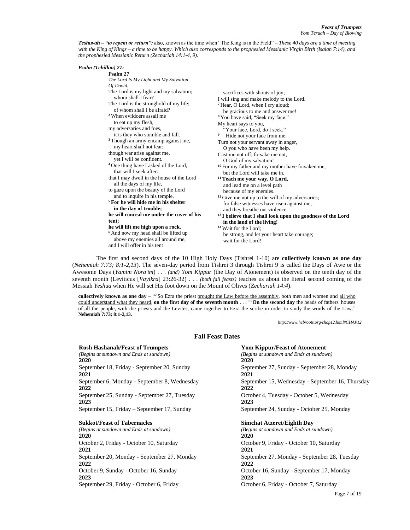*Teshuvah – "to repent or return";* also, known as the time when "The King is in the Field" – *These 40 days are a time of meeting with the King of Kings – a time to be happy. Which also corresponds to the prophesied Messianic Virgin Birth (Isaiah 7:14), and the prophesied Messianic Return (Zechariah 14:1-4, 9).*

| Psalm (Tehillim) 27:<br>Psalm 27<br>The Lord Is My Light and My Salvation<br>Of David.<br>The Lord is my light and my salvation;<br>whom shall I fear?<br>The Lord is the stronghold of my life;<br>of whom shall I be afraid?<br><sup>2</sup> When evildoers assail me<br>to eat up my flesh,<br>my adversaries and foes,<br>it is they who stumble and fall.<br><sup>3</sup> Though an army encamp against me,<br>my heart shall not fear;<br>though war arise against me,<br>yet I will be confident.<br><sup>4</sup> One thing have I asked of the Lord,<br>that will I seek after:<br>that I may dwell in the house of the Lord<br>all the days of my life,<br>to gaze upon the beauty of the Lord<br>and to inquire in his temple.<br><sup>5</sup> For he will hide me in his shelter<br>in the day of trouble;<br>he will conceal me under the cover of his<br>tent;<br>he will lift me high upon a rock.<br><sup>6</sup> And now my head shall be lifted up<br>above my enemies all around me,<br>and I will offer in his tent | sacrifices with shouts of joy;<br>I will sing and make melody to the Lord.<br><sup>7</sup> Hear, O Lord, when I cry aloud;<br>be gracious to me and answer me!<br><sup>8</sup> You have said, "Seek my face."<br>My heart says to you,<br>"Your face, Lord, do I seek."<br>9<br>Hide not your face from me.<br>Turn not your servant away in anger,<br>O you who have been my help.<br>Cast me not off: forsake me not.<br>O God of my salvation!<br><sup>10</sup> For my father and my mother have forsaken me,<br>but the Lord will take me in.<br><sup>11</sup> Teach me your way, O Lord,<br>and lead me on a level path<br>because of my enemies.<br><sup>12</sup> Give me not up to the will of my adversaries;<br>for false witnesses have risen against me,<br>and they breathe out violence.<br><sup>13</sup> I believe that I shall look upon the goodness of the Lord<br>in the land of the living!<br><sup>14</sup> Wait for the Lord:<br>be strong, and let your heart take courage;<br>wait for the Lord! |
|----------------------------------------------------------------------------------------------------------------------------------------------------------------------------------------------------------------------------------------------------------------------------------------------------------------------------------------------------------------------------------------------------------------------------------------------------------------------------------------------------------------------------------------------------------------------------------------------------------------------------------------------------------------------------------------------------------------------------------------------------------------------------------------------------------------------------------------------------------------------------------------------------------------------------------------------------------------------------------------------------------------------------------------|-------------------------------------------------------------------------------------------------------------------------------------------------------------------------------------------------------------------------------------------------------------------------------------------------------------------------------------------------------------------------------------------------------------------------------------------------------------------------------------------------------------------------------------------------------------------------------------------------------------------------------------------------------------------------------------------------------------------------------------------------------------------------------------------------------------------------------------------------------------------------------------------------------------------------------------------------------------------------------------------------------------------------|
|----------------------------------------------------------------------------------------------------------------------------------------------------------------------------------------------------------------------------------------------------------------------------------------------------------------------------------------------------------------------------------------------------------------------------------------------------------------------------------------------------------------------------------------------------------------------------------------------------------------------------------------------------------------------------------------------------------------------------------------------------------------------------------------------------------------------------------------------------------------------------------------------------------------------------------------------------------------------------------------------------------------------------------------|-------------------------------------------------------------------------------------------------------------------------------------------------------------------------------------------------------------------------------------------------------------------------------------------------------------------------------------------------------------------------------------------------------------------------------------------------------------------------------------------------------------------------------------------------------------------------------------------------------------------------------------------------------------------------------------------------------------------------------------------------------------------------------------------------------------------------------------------------------------------------------------------------------------------------------------------------------------------------------------------------------------------------|

The first and second days of the 10 High Holy Days (Tishrei 1-10) are **collectively known as one day** (*Nehemiah 7:73; 8:1-2,13*). The seven-day period from Tishrei 3 through Tishrei 9 is called the Days of Awe or the Awesome Days (*Yamim Nora'im*) . . . *(and) Yom Kippur* (the Day of Atonement) is observed on the tenth day of the seventh month (Leviticus [*Vayikra*] 23:26-32) . . . *(both fall feasts)* teaches us about the literal second coming of the Messiah *Yeshua* when He will set His foot down on the Mount of Olives (*Zechariah 14:4*).

**collectively known as one day** – "<sup>2</sup> So Ezra the priest brought the Law before the assembly, both men and women and all who could understand what they heard, **on the first day of the seventh month** . . . **<sup>13</sup> On the second day** the heads of fathers' houses of all the people, with the priests and the Levites, came together to Ezra the scribe in order to study the words of the Law." **Nehemiah 7:73; 8:1-2,13.**

**Fall Feast Dates**

*http://www.hebroots.org/chap12.html#CHAP12*

| <b>Rosh Hashanah/Feast of Trumpets</b>               | <b>Yom Kippur/Feast of Atonement</b>                     |
|------------------------------------------------------|----------------------------------------------------------|
| (Begins at sundown and Ends at sundown)              | (Begins at sundown and Ends at sundown)                  |
| <b>2020</b>                                          | 2020                                                     |
| September 18, Friday - September 20, Sunday          | September 27, Sunday - September 28, Monday              |
| <b>2021</b>                                          | 2021                                                     |
| September 6, Monday - September 8, Wednesday<br>2022 | September 15, Wednesday - September 16, Thursday<br>2022 |
| September 25, Sunday - September 27, Tuesday<br>2023 | October 4, Tuesday - October 5, Wednesday<br>2023        |
| September 15, Friday – September 17, Sunday          | September 24, Sunday - October 25, Monday                |
| <b>Sukkot/Feast of Tabernacles</b>                   | <b>Simchat Atzeret/Eighth Day</b>                        |
| (Begins at sundown and Ends at sundown)              | (Begins at sundown and Ends at sundown)                  |
| <b>2020</b>                                          | <b>2020</b>                                              |
| October 2, Friday - October 10, Saturday             | October 9, Friday - October 10, Saturday                 |
| <b>2021</b>                                          | 2021                                                     |
| September 20, Monday - September 27, Monday          | September 27, Monday - September 28, Tuesday             |
| 2022                                                 | 2022                                                     |
| October 9, Sunday - October 16, Sunday               | October 16, Sunday - September 17, Monday                |
| <b>2023</b>                                          | 2023                                                     |
| September 29, Friday - October 6, Friday             | October 6, Friday - October 7, Saturday                  |
|                                                      | Page 7 of 19                                             |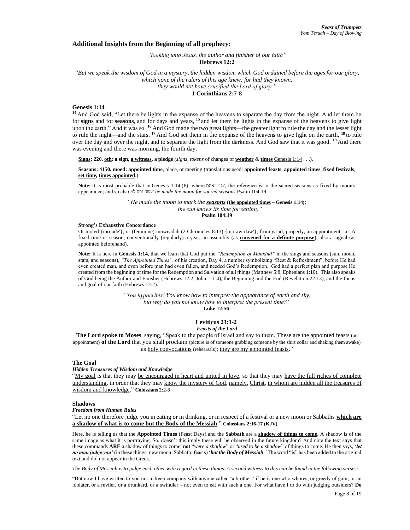## **Additional Insights from the Beginning of all prophecy:**

*"looking unto Jesus, the author and finisher of our faith"* **Hebrews 12:2**

*"But we speak the wisdom of God in a mystery, the hidden wisdom which God ordained before the ages for our glory, which none of the rulers of this age knew; for had they known, they would not have crucified the Lord of glory."* **1 Corinthians 2:7-8**

#### **Genesis 1:14**

**<sup>14</sup>** And God said, "Let there be lights in the expanse of the heavens to separate the day from the night. And let them be for **signs** and for **seasons**, and for days and years, **<sup>15</sup>** and let them be lights in the expanse of the heavens to give light upon the earth." And it was so. **<sup>16</sup>** And God made the two great lights—the greater light to rule the day and the lesser light to rule the night—and the stars. **<sup>17</sup>** And God set them in the expanse of the heavens to give light on the earth, **<sup>18</sup>** to rule over the day and over the night, and to separate the light from the darkness. And God saw that it was good. **<sup>19</sup>** And there was evening and there was morning, the fourth day.

**Signs: 226. oth: a sign, a witness, a pledge** *(signs, tokens* of changes of **weather** & **times** [Genesis 1:14](https://biblehub.com/interlinear/genesis/1-14.htm) . . .).

**Seasons: 4150. moed: appointed time**, place, or meeting (translations used: **appointed feasts**, **appointed times**, **fixed festivals**, **set time, times appointed**.)

**Note:** It is most probable that in Genesis 1:14 (P), where תֹתֹא "" ׳מ, the reference is to the sacred seasons as fixed by moon's appearance; and so also למ ירח שהׂ׳ע *he made the moon for sacred seasons* Psalm 104:19,

> *"He made the moon to mark the seasons* **(the appointed times – Genesis 1:14)***; the sun knows its time for setting."*

**Psalm 104:19**

#### **Strong's Exhaustive Concordance**

Or moled {mo-ade'}; or (feminine) moweadah (2 Chronicles 8:13) {mo-aw-daw'}; from [ya'ad;](https://biblehub.com/hebrew/3259.htm) properly, an appointment, i.e. A fixed time or season; conventionally (regularly) a year; an assembly (as **convened for a definite purpose**); also a signal (as appointed beforehand).

**Note:** It is here in **Genesis 1:14**, that we learn that God put the *"Redemption of Mankind"* in the sings and seasons (sun, moon, stars, and seasons), *"The Appointed Times"*, of his creation, Day 4, a number symbolizing "Rest & Refreshment", before He had even created man, and even before man had even fallen, and needed God's Redemption. God had a perfect plan and purpose He created from the beginning of time for the Redemption and Salvation of all things (Matthew 5:8, Ephesians 1:10). This also speaks of God being the Author and Finisher (Hebrews 12:2, John 1:1-4), the Beginning and the End (Revelation 22:13), and the focus and goal of our faith (Hebrews 12:2).

> *"You hypocrites! You know how to interpret the appearance of earth and sky, but why do you not know how to interpret the present time?"* **Luke 12:56**

#### **Leviticus 23:1-2** *Feasts of the Lord*

**The Lord spoke to Moses**, saying, "Speak to the people of Israel and say to them, These are the appointed feasts (an appointment) **of the Lord** that you shall proclaim (picture is of someone grabbing someone by the shirt collar and shaking them awake) as holy convocations (rehearsals); they are my appointed feasts."

#### **The Goal**

#### *Hidden Treasures of Wisdom and Knowledge*

"My goal is that they may be encouraged in heart and united in love, so that they may have the full riches of complete understanding, in order that they may know the mystery of God, namely, Christ, in whom are hidden all the treasures of wisdom and knowledge." **Colossians 2:2-3**

#### **Shadows**

#### *Freedom from Human Rules*

"Let no one therefore judge you in eating or in drinking, or in respect of a festival or a new moon or Sabbaths **which are a shadow of what is to come but the Body of the Messiah**." **Colossians 2:16-17 (KJV)**

Here, he is telling us that the **Appointed Times** (Feast Days) and the **Sabbath** are a **shadow of things to come.** A shadow is of the same image as what it is portraying. So, doesn't this imply these will be observed in the future kingdom? And note the text says that these commands **ARE** a shadow of things to come, **not** "*were a shadow*" or "*used to be a shadow*" of things to come. He then says, *'let no man judge you'* (in these things: new moon; Sabbath; feasts) '*but the Body of Messiah.'* The word "is" has been added to the original text and did not appear in the Greek.

*The Body of Messiah is to judge each other with regard to these things. A second witness to this can be found in the following verses:*

"But now I have written to you not to keep company with anyone called 'a brother,' if he is one who whores, or greedy of gain, or an idolater, or a reviler, or a drunkard, or a swindler – not even to eat with such a one. For what have I to do with judging outsiders? **Do**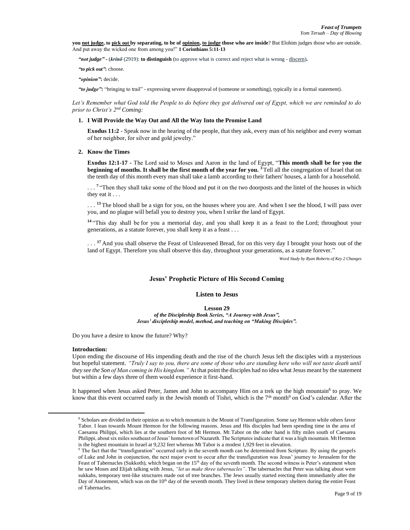**you not judge, to pick out by separating, to be of opinion, to judge those who are inside**? But Elohim judges those who are outside. And put away the wicked one from among you!" **1 Corinthians 5:11-13**

*"not judge"* **-** (*krínō* (2919): **to distinguish** (to approve what is correct and reject what is wrong - discern)**.**

*"to pick out"***:** choose.

*"opinion"***:** decide.

*"to judge"***:** "bringing to trail" - expressing severe disapproval of (someone or something), typically in a formal statement).

*Let's Remember what God told the People to do before they got delivered out of Egypt, which we are reminded to do prior to Christ's 2nd Coming:*

# **1. I Will Provide the Way Out and All the Way Into the Promise Land**

**Exodus 11:2** - Speak now in the hearing of the people, that they ask, every man of his neighbor and every woman of her neighbor, for silver and gold jewelry."

## **2. Know the Times**

**Exodus 12:1-17 -** The Lord said to Moses and Aaron in the land of Egypt, "**This month shall be for you the beginning of months. It shall be the first month of the year for you.** <sup>3</sup> Tell all the congregation of Israel that on the tenth day of this month every man shall take a lamb according to their fathers' houses, a lamb for a household.

...<sup>7</sup> "Then they shall take some of the blood and put it on the two doorposts and the lintel of the houses in which they eat it . . .

. . . **<sup>13</sup>** The blood shall be a sign for you, on the houses where you are. And when I see the blood, I will pass over you, and no plague will befall you to destroy you, when I strike the land of Egypt.

<sup>14</sup> "This day shall be for you a memorial day, and you shall keep it as a feast to the Lord; throughout your generations, as a statute forever, you shall keep it as a feast . . .

. . . **<sup>17</sup>** And you shall observe the Feast of Unleavened Bread, for on this very day I brought your hosts out of the land of Egypt. Therefore you shall observe this day, throughout your generations, as a statute forever."

*Word Study by Ryan Roberts of Key 2 Changes*

# **Jesus' Prophetic Picture of His Second Coming**

# **Listen to Jesus**

**Lesson 29**

*of the Discipleship Book Series, "A Journey with Jesus", Jesus' discipleship model, method, and teaching on "Making Disciples".*

Do you have a desire to know the future? Why?

#### **Introduction:**

Upon ending the discourse of His impending death and the rise of the church Jesus left the disciples with a mysterious but hopeful statement. *"Truly I say to you, there are some of those who are standing here who will not taste death until they see the Son of Man coming in His kingdom."* At that point the disciples had no idea what Jesus meant by the statement but within a few days three of them would experience it first-hand.

It happened when Jesus asked Peter, James and John to accompany Him on a trek up the high mountain<sup>8</sup> to pray. We know that this event occurred early in the Jewish month of Tishri, which is the  $7<sup>th</sup>$  month<sup>9</sup> on God's calendar. After the

<sup>8</sup> Scholars are divided in their opinion as to which mountain is the Mount of Transfiguration. Some say Hermon while others favor Tabor. I lean towards Mount Hermon for the following reasons. Jesus and His disciples had been spending time in the area of Caesarea Philippi, which lies at the southern foot of Mt Hermon. Mt Tabor on the other hand is fifty miles south of Caesarea Philippi, about six miles southeast of Jesus' hometown of Nazareth. The Scriptures indicate that it was a high mountain. Mt Hermon is the highest mountain in Israel at 9,232 feet whereas Mt Tabor is a modest 1,929 feet in elevation.

<sup>9</sup> The fact that the "transfiguration" occurred early in the seventh month can be determined from Scripture. By using the gospels of Luke and John in conjunction, the next major event to occur after the transfiguration was Jesus' journey to Jerusalem for the Feast of Tabernacles (Sukkoth), which began on the 15<sup>th</sup> day of the seventh month. The second witness is Peter's statement when he saw Moses and Elijah talking with Jesus, *"let us make three tabernacles"*. The tabernacles that Peter was talking about were sukkahs, temporary tent-like structures made out of tree branches. The Jews usually started erecting them immediately after the Day of Atonement, which was on the 10<sup>th</sup> day of the seventh month. They lived in these temporary shelters during the entire Feast of Tabernacles.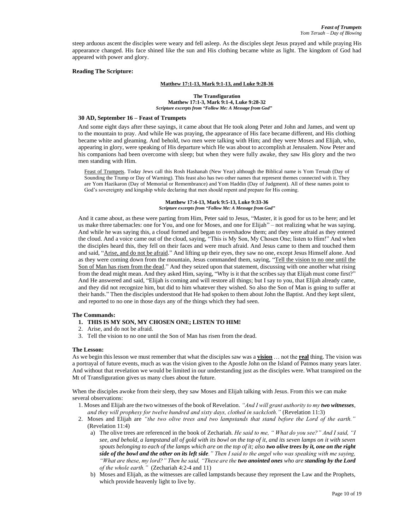steep arduous ascent the disciples were weary and fell asleep. As the disciples slept Jesus prayed and while praying His appearance changed. His face shined like the sun and His clothing became white as light. The kingdom of God had appeared with power and glory.

#### **Reading The Scripture:**

#### **Matthew 17:1-13, Mark 9:1-13, and Luke 9:28-36**

**The Transfiguration Matthew 17:1-3, Mark 9:1-4, Luke 9:28-32** *Scripture excerpts from "Follow Me: A Message from God"*

#### **30 AD, September 16 – Feast of Trumpets**

And some eight days after these sayings, it came about that He took along Peter and John and James, and went up to the mountain to pray. And while He was praying, the appearance of His face became different, and His clothing became white and gleaming. And behold, two men were talking with Him; and they were Moses and Elijah, who, appearing in glory, were speaking of His departure which He was about to accomplish at Jerusalem. Now Peter and his companions had been overcome with sleep; but when they were fully awake, they saw His glory and the two men standing with Him.

Feast of Trumpets. Today Jews call this Rosh Hashanah (New Year) although the Biblical name is Yom Teruah (Day of Sounding the Trump or Day of Warning). This feast also has two other names that represent themes connected with it. They are Yom Hazikaron (Day of Memorial or Remembrance) and Yom Haddin (Day of Judgment). All of these names point to God's sovereignty and kingship while declaring that men should repent and prepare for His coming.

> **Matthew 17:4-13, Mark 9:5-13, Luke 9:33-36** *Scripture excerpts from "Follow Me: A Message from God"*

And it came about, as these were parting from Him, Peter said to Jesus, "Master, it is good for us to be here; and let us make three tabernacles: one for You, and one for Moses, and one for Elijah" – not realizing what he was saying. And while he was saying this, a cloud formed and began to overshadow them; and they were afraid as they entered the cloud. And a voice came out of the cloud, saying, "This is My Son, My Chosen One; listen to Him!" And when the disciples heard this, they fell on their faces and were much afraid. And Jesus came to them and touched them and said, "Arise, and do not be afraid." And lifting up their eyes, they saw no one, except Jesus Himself alone. And as they were coming down from the mountain, Jesus commanded them, saying, "Tell the vision to no one until the Son of Man has risen from the dead." And they seized upon that statement, discussing with one another what rising from the dead might mean. And they asked Him, saying, "Why is it that the scribes say that Elijah must come first?" And He answered and said, "Elijah is coming and will restore all things; but I say to you, that Elijah already came, and they did not recognize him, but did to him whatever they wished. So also the Son of Man is going to suffer at their hands." Then the disciples understood that He had spoken to them about John the Baptist. And they kept silent, and reported to no one in those days any of the things which they had seen.

#### **The Commands:**

- **1. THIS IS MY SON, MY CHOSEN ONE; LISTEN TO HIM!**
- 2. Arise, and do not be afraid.
- 3. Tell the vision to no one until the Son of Man has risen from the dead.

#### **The Lesson:**

As we begin this lesson we must remember that what the disciples saw was a **vision** … not the **real** thing. The vision was a portrayal of future events, much as was the vision given to the Apostle John on the Island of Patmos many years later. And without that revelation we would be limited in our understanding just as the disciples were. What transpired on the Mt of Transfiguration gives us many clues about the future.

When the disciples awoke from their sleep, they saw Moses and Elijah talking with Jesus. From this we can make several observations:

- 1. Moses and Elijah are the two witnesses of the book of Revelation. *"And I will grant authority to my two witnesses, and they will prophesy for twelve hundred and sixty days, clothed in sackcloth."* (Revelation 11:3)
- 2. Moses and Elijah are *"the two olive trees and two lampstands that stand before the Lord of the earth."* (Revelation 11:4)
	- a) The olive trees are referenced in the book of Zechariah. *He said to me, " What do you see?" And I said, "I see, and behold, a lampstand all of gold with its bowl on the top of it, and its seven lamps on it with seven spouts belonging to each of the lamps which are on the top of it; also two olive trees by it, one on the right side of the bowl and the other on its left side." Then I said to the angel who was speaking with me saying, "What are these, my lord?" Then he said, "These are the two anointed ones who are standing by the Lord of the whole earth."* (Zechariah 4:2-4 and 11)
	- b) Moses and Elijah, as the witnesses are called lampstands because they represent the Law and the Prophets, which provide heavenly light to live by.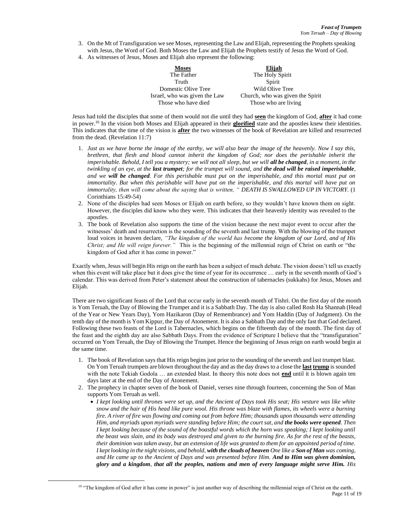- 3. On the Mt of Transfiguration we see Moses, representing the Law and Elijah, representing the Prophets speaking with Jesus, the Word of God. Both Moses the Law and Elijah the Prophets testify of Jesus the Word of God.
- 4. As witnesses of Jesus, Moses and Elijah also represent the following:

| <b>Moses</b>                  | Elijah                           |
|-------------------------------|----------------------------------|
| The Father                    | The Holy Spirit                  |
| Truth                         | Spirit                           |
| Domestic Olive Tree           | Wild Olive Tree                  |
| Israel, who was given the Law | Church, who was given the Spirit |
| Those who have died           | Those who are living             |
|                               |                                  |

Jesus had told the disciples that some of them would not die until they had **seen** the kingdom of God, **after** it had come in power.<sup>10</sup> In the vision both Moses and Elijah appeared in their **glorified** state and the apostles knew their identities. This indicates that the time of the vision is **after** the two witnesses of the book of Revelation are killed and resurrected from the dead. (Revelation 11:7)

- 1. *Just as we have borne the image of the earthy, we will also bear the image of the heavenly. Now I say this, brethren, that flesh and blood cannot inherit the kingdom of God; nor does the perishable inherit the imperishable. Behold, I tell you a mystery; we will not all sleep, but we will all be changed, in a moment, in the twinkling of an eye, at the last trumpet; for the trumpet will sound, and the dead will be raised imperishable, and we will be changed. For this perishable must put on the imperishable, and this mortal must put on immortality. But when this perishable will have put on the imperishable, and this mortal will have put on immortality, then will come about the saying that is written, " DEATH IS SWALLOWED UP IN VICTORY.* (1 Corinthians 15:49-54)
- 2. None of the disciples had seen Moses or Elijah on earth before, so they wouldn't have known them on sight. However, the disciples did know who they were. This indicates that their heavenly identity was revealed to the apostles.
- 3. The book of Revelation also supports the time of the vision because the next major event to occur after the witnesses' death and resurrection is the sounding of the seventh and last trump. With the blowing of the trumpet loud voices in heaven declare, *"The kingdom of the world has become the kingdom of our Lord, and of His Christ; and He will reign forever."* This is the beginning of the millennial reign of Christ on earth or "the kingdom of God after it has come in power."

Exactly when, Jesus will begin His reign on the earth has been a subject of much debate. The vision doesn't tell us exactly when this event will take place but it does give the time of year for its occurrence ... early in the seventh month of God's calendar. This was derived from Peter's statement about the construction of tabernacles (sukkahs) for Jesus, Moses and Elijah.

There are two significant feasts of the Lord that occur early in the seventh month of Tishri. On the first day of the month is Yom Teruah, the Day of Blowing the Trumpet and it is a Sabbath Day. The day is also called Rosh Ha Shannah (Head of the Year or New Years Day), Yom Hazikaron (Day of Remembrance) and Yom Haddin (Day of Judgment). On the tenth day of the month is Yom Kippur, the Day of Atonement. It is also a Sabbath Day and the only fast that God declared. Following these two feasts of the Lord is Tabernacles, which begins on the fifteenth day of the month. The first day of the feast and the eighth day are also Sabbath Days. From the evidence of Scripture I believe that the "transfiguration" occurred on Yom Teruah, the Day of Blowing the Trumpet. Hence the beginning of Jesus reign on earth would begin at the same time.

- 1. The book of Revelation says that His reign begins just prior to the sounding of the seventh and last trumpet blast. On Yom Teruah trumpets are blown throughout the day and as the day draws to a close the **last trump** is sounded with the note Tekiah Godola ... an extended blast. In theory this note does not **end** until it is blown again ten days later at the end of the Day of Atonement.
- 2. The prophecy in chapter seven of the book of Daniel, verses nine through fourteen, concerning the Son of Man supports Yom Teruah as well.
	- *I kept looking until thrones were set up, and the Ancient of Days took His seat; His vesture was like white snow and the hair of His head like pure wool. His throne was blaze with flames, its wheels were a burning fire. A river of fire was flowing and coming out from before Him; thousands upon thousands were attending Him, and myriads upon myriads were standing before Him; the court sat, and the books were opened. Then I kept looking because of the sound of the boastful words which the horn was speaking; I kept looking until the beast was slain, and its body was destroyed and given to the burning fire. As for the rest of the beasts, their dominion was taken away, but an extension of life was granted to them for an appointed period of time. I kept looking in the night visions, and behold, with the clouds of heaven One like a Son of Man was coming, and He came up to the Ancient of Days and was presented before Him. And to Him was given dominion, glory and a kingdom, that all the peoples, nations and men of every language might serve Him. His*

Page 11 of 19 <sup>10</sup> "The kingdom of God after it has come in power" is just another way of describing the millennial reign of Christ on the earth.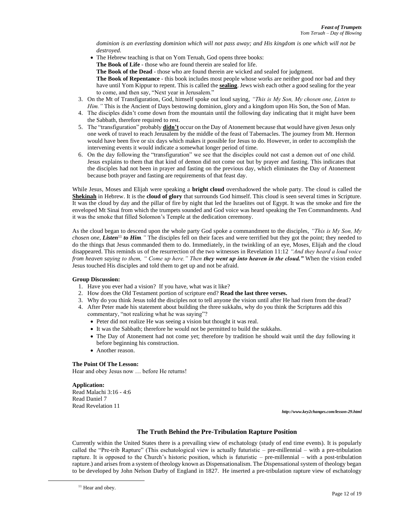*dominion is an everlasting dominion which will not pass away; and His kingdom is one which will not be destroyed.*

• The Hebrew teaching is that on Yom Teruah, God opens three books:

**The Book of Life** - those who are found therein are sealed for life.

**The Book of the Dead** - those who are found therein are wicked and sealed for judgment.

**The Book of Repentance** - this book includes most people whose works are neither good nor bad and they have until Yom Kippur to repent. This is called the **sealing**. Jews wish each other a good sealing for the year to come, and then say, "Next year in Jerusalem."

- 3. On the Mt of Transfiguration, God, himself spoke out loud saying, *"This is My Son, My chosen one, Listen to Him.*" This is the Ancient of Days bestowing dominion, glory and a kingdom upon His Son, the Son of Man.
- 4. The disciples didn't come down from the mountain until the following day indicating that it might have been the Sabbath, therefore required to rest.
- 5. The "transfiguration" probably **didn't** occur on the Day of Atonement because that would have given Jesus only one week of travel to reach Jerusalem by the middle of the feast of Tabernacles. The journey from Mt. Hermon would have been five or six days which makes it possible for Jesus to do. However, in order to accomplish the intervening events it would indicate a somewhat longer period of time.
- 6. On the day following the "transfiguration" we see that the disciples could not cast a demon out of one child. Jesus explains to them that that kind of demon did not come out but by prayer and fasting. This indicates that the disciples had not been in prayer and fasting on the previous day, which eliminates the Day of Atonement because both prayer and fasting are requirements of that feast day.

While Jesus, Moses and Elijah were speaking a **bright cloud** overshadowed the whole party. The cloud is called the **Shekinah** in Hebrew. It is the **cloud of glory** that surrounds God himself. This cloud is seen several times in Scripture. It was the cloud by day and the pillar of fire by night that led the Israelites out of Egypt. It was the smoke and fire the enveloped Mt Sinai from which the trumpets sounded and God voice was heard speaking the Ten Commandments. And it was the smoke that filled Solomon's Temple at the dedication ceremony.

As the cloud began to descend upon the whole party God spoke a commandment to the disciples, *"This is My Son, My chosen one, Listen*<sup>11</sup> *to Him.* "The disciples fell on their faces and were terrified but they got the point; they needed to do the things that Jesus commanded them to do. Immediately, in the twinkling of an eye, Moses, Elijah and the cloud disappeared. This reminds us of the resurrection of the two witnesses in Revelation 11:12 *"And they heard a loud voice from heaven saying to them, " Come up here." Then they went up into heaven in the cloud."* When the vision ended Jesus touched His disciples and told them to get up and not be afraid.

# **Group Discussion:**

- 1. Have you ever had a vision? If you have, what was it like?
- 2. How does the Old Testament portion of scripture end? **Read the last three verses.**
- 3. Why do you think Jesus told the disciples not to tell anyone the vision until after He had risen from the dead?
- 4. After Peter made his statement about building the three sukkahs, why do you think the Scriptures add this commentary, "not realizing what he was saying"?
	- Peter did not realize He was seeing a vision but thought it was real.
	- It was the Sabbath; therefore he would not be permitted to build the sukkahs.
	- The Day of Atonement had not come yet; therefore by tradition he should wait until the day following it before beginning his construction.
	- Another reason.

# **The Point Of The Lesson:**

Hear and obey Jesus now … before He returns!

**Application:** Read Malachi 3:16 - 4:6 Read Daniel 7 Read Revelation 11

*http://www.key2changes.com/lesson-29.html*

# **The Truth Behind the Pre-Tribulation Rapture Position**

Currently within the United States there is a prevailing view of eschatology (study of end time events). It is popularly called the "Pre-trib Rapture" (This eschatological view is actually futuristic – pre-millennial – with a pre-tribulation rapture. It is opposed to the Church's historic position, which is futuristic – pre-millennial – with a post-tribulation rapture.) and arises from a system of theology known as Dispensationalism. The Dispensational system of theology began to be developed by John Nelson Darby of England in 1827. He inserted a pre-tribulation rapture view of eschatology

<sup>&</sup>lt;sup>11</sup> Hear and obey.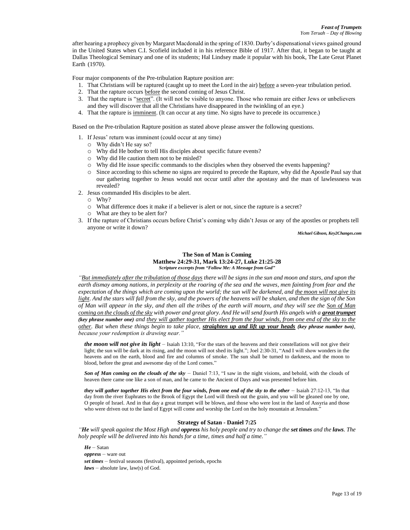after hearing a prophecy given by Margaret Macdonald in the spring of 1830. Darby's dispensational views gained ground in the United States when C.I. Scofield included it in his reference Bible of 1917. After that, it began to be taught at Dallas Theological Seminary and one of its students; Hal Lindsey made it popular with his book, The Late Great Planet  $\text{Earth}$  (1970).

Four major components of the Pre-tribulation Rapture position are:

- 1. That Christians will be raptured (caught up to meet the Lord in the air) before a seven-year tribulation period.
- 2. That the rapture occurs before the second coming of Jesus Christ.
- 3. That the rapture is "secret". (It will not be visible to anyone. Those who remain are either Jews or unbelievers and they will discover that all the Christians have disappeared in the twinkling of an eye.)
- 4. That the rapture is imminent. (It can occur at any time. No signs have to precede its occurrence.)

Based on the Pre-tribulation Rapture position as stated above please answer the following questions.

- 1. If Jesus' return was imminent (could occur at any time)
	- o Why didn't He say so?
	- o Why did He bother to tell His disciples about specific future events?
	- o Why did He caution them not to be misled?
	- o Why did He issue specific commands to the disciples when they observed the events happening?
	- o Since according to this scheme no signs are required to precede the Rapture, why did the Apostle Paul say that our gathering together to Jesus would not occur until after the apostasy and the man of lawlessness was revealed?
- 2. Jesus commanded His disciples to be alert.
	- o Why?
	- o What difference does it make if a believer is alert or not, since the rapture is a secret?
	- o What are they to be alert for?
- 3. If the rapture of Christians occurs before Christ's coming why didn't Jesus or any of the apostles or prophets tell anyone or write it down?

*Michael Gibson, Key2Changes.com*

## **The Son of Man is Coming Matthew 24:29-31, Mark 13:24-27, Luke 21:25-28** *Scripture excerpts from "Follow Me: A Message from God"*

*"But immediately after the tribulation of those days there will be signs in the sun and moon and stars, and upon the earth dismay among nations, in perplexity at the roaring of the sea and the waves, men fainting from fear and the expectation of the things which are coming upon the world; the sun will be darkened, and the moon will not give its light. And the stars will fall from the sky, and the powers of the heavens will be shaken, and then the sign of the Son of Man will appear in the sky, and then all the tribes of the earth will mourn, and they will see the Son of Man coming on the clouds of the sky with power and great glory. And He will send fourth His angels with a great trumpet (key phrase number one) and they will gather together His elect from the four winds, from one end of the sky to the other. But when these things begin to take place, straighten up and lift up your heads (key phrase number two), because your redemption is drawing near."*

*the moon will not give its light –* Isaiah 13:10, "For the stars of the heavens and their constellations will not give their light; the sun will be dark at its rising, and the moon will not shed its light."; Joel 2:30-31, "And I will show wonders in the heavens and on the earth, blood and fire and columns of smoke. The sun shall be turned to darkness, and the moon to blood, before the great and awesome day of the Lord comes."

*Son of Man coming on the clouds of the sky –* Daniel 7:13, "I saw in the night visions, and behold, with the clouds of heaven there came one like a son of man, and he came to the Ancient of Days and was presented before him.

*they will gather together His elect from the four winds, from one end of the sky to the other* – Isaiah 27:12-13, "In that day from the river Euphrates to the Brook of Egypt the Lord will thresh out the grain, and you will be gleaned one by one, O people of Israel. And in that day a great trumpet will be blown, and those who were lost in the land of Assyria and those who were driven out to the land of Egypt will come and worship the Lord on the holy mountain at Jerusalem."

# **Strategy of Satan - Daniel 7:25**

*"He will speak against the Most High and oppress his holy people and try to change the set times and the laws. The holy people will be delivered into his hands for a time, times and half a time."*

*He –* Satan *oppress –* ware out *set times –* festival seasons (festival), appointed periods, epochs *laws –* absolute law, law(s) of God.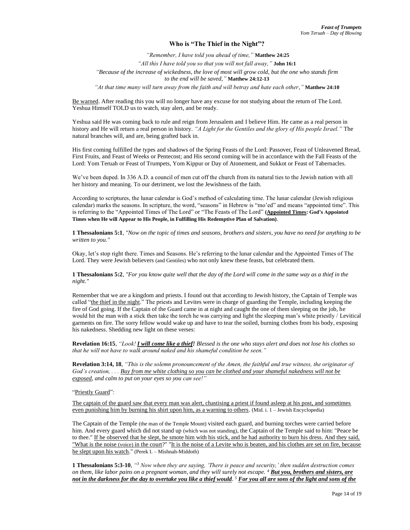# **Who is "The Thief in the Night"?**

*"Remember, I have told you ahead of time,"* **Matthew 24:25** *"All this I have told you so that you will not fall away,"* **John 16:1** *"Because of the increase of wickedness, the love of most will grow cold, but the one who stands firm to the end will be saved,"* **Matthew 24:12-13**

*"At that time many will turn away from the faith and will betray and hate each other,"* **Matthew 24:10**

Be warned. After reading this you will no longer have any excuse for not studying about the return of The Lord. Yeshua Himself TOLD us to watch, stay alert, and be ready.

Yeshua said He was coming back to rule and reign from Jerusalem and I believe Him. He came as a real person in history and He will return a real person in history. *"A Light for the Gentiles and the glory of His people Israel."* The natural branches will, and are, being grafted back in.

His first coming fulfilled the types and shadows of the Spring Feasts of the Lord: Passover, Feast of Unleavened Bread, First Fruits, and Feast of Weeks or Pentecost; and His second coming will be in accordance with the Fall Feasts of the Lord: Yom Teruah or Feast of Trumpets, Yom Kippur or Day of Atonement, and Sukkot or Feast of Tabernacles.

We've been duped. In 336 A.D. a council of men cut off the church from its natural ties to the Jewish nation with all her history and meaning. To our detriment, we lost the Jewishness of the faith.

According to scriptures, the lunar calendar is God's method of calculating time. The lunar calendar (Jewish religious calendar) marks the seasons. In scripture, the word, "seasons" in Hebrew is "mo'ed" and means "appointed time". This is referring to the "Appointed Times of The Lord" or "The Feasts of The Lord" **(Appointed Times: God's Appointed Times when He will Appear to His People, in Fulfilling His Redemptive Plan of Salvation)**.

**1 Thessalonians 5:1**, *"Now on the topic of times and seasons, brothers and sisters, you have no need for anything to be written to you."*

Okay, let's stop right there. Times and Seasons. He's referring to the lunar calendar and the Appointed Times of The Lord. They were Jewish believers (and Gentiles) who not only knew these feasts, but celebrated them.

**1 Thessalonians 5:2**, *"For you know quite well that the day of the Lord will come in the same way as a thief in the night."*

Remember that we are a kingdom and priests. I found out that according to Jewish history, the Captain of Temple was called "the thief in the night." The priests and Levites were in charge of guarding the Temple, including keeping the fire of God going. If the Captain of the Guard came in at night and caught the one of them sleeping on the job, he would hit the man with a stick then take the torch he was carrying and light the sleeping man's white priestly / Levitical garments on fire. The sorry fellow would wake up and have to tear the soiled, burning clothes from his body, exposing his nakedness. Shedding new light on these verses:

**Revelation 16:15**, *"Look! I will come like a thief! Blessed is the one who stays alert and does not lose his clothes so that he will not have to walk around naked and his shameful condition be seen."*

**Revelation 3:14, 18**, *"This is the solemn pronouncement of the Amen, the faithful and true witness, the originator of God's creation, . . . Buy from me white clothing so you can be clothed and your shameful nakedness will not be exposed, and calm to put on your eyes so you can see!"*

"Priestly Guard":

The captain of the guard saw that every man was alert, chastising a priest if found asleep at his post, and sometimes even punishing him by burning his shirt upon him, as a warning to others. (Mid. i. 1 – Jewish Encyclopedia)

The Captain of the Temple (the man of the Temple Mount) visited each guard, and burning torches were carried before him. And every guard which did not stand up (which was not standing), the Captain of the Temple said to him: "Peace be to thee." If he observed that he slept, he smote him with his stick, and he had authority to burn his dress. And they said, "What is the noise (voice) in the court?" "It is the noise of a Levite who is beaten, and his clothes are set on fire, because he slept upon his watch." (Perek I. – Mishnah-Middoth)

**1 Thessalonians 5:3-10**, *" <sup>3</sup> Now when they are saying, 'There is peace and security,' then sudden destruction comes on them, like labor pains on a pregnant woman, and they will surely not escape. <sup>4</sup> But you, brothers and sisters, are not in the darkness for the day to overtake you like a thief would. <sup>5</sup> For you all are sons of the light and sons of the*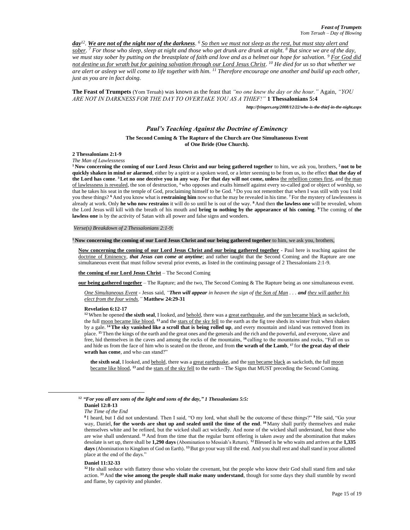*day<sup>12</sup> . We are not of the night nor of the darkness. <sup>6</sup> So then we must not sleep as the rest, but must stay alert and sober. <sup>7</sup> For those who sleep, sleep at night and those who get drunk are drunk at night. <sup>8</sup> But since we are of the day, we must stay sober by putting on the breastplate of faith and love and as a helmet our hope for salvation. <sup>9</sup> For God did not destine us for wrath but for gaining salvation through our Lord Jesus Christ. <sup>10</sup> He died for us so that whether we are alert or asleep we will come to life together with him. <sup>11</sup> Therefore encourage one another and build up each other, just as you are in fact doing.*

**The Feast of Trumpets** (Yom Teruah) was known as the feast that *"no one knew the day or the hour."* Again, *"YOU ARE NOT IN DARKNESS FOR THE DAY TO OVERTAKE YOU AS A THIEF!"* **1 Thessalonians 5:4**

*http://fringers.org/2008/12/22/who-is-the-thief-in-the-night.aspx*

## *Paul's Teaching Against the Doctrine of Eminency*

#### **The Second Coming & The Rapture of the Church are One Simultaneous Event of One Bride (One Church).**

## **2 Thessalonians 2:1-9**

*The Man of Lawlessness*

**<sup>1</sup> Now concerning the coming of our Lord Jesus Christ and our being gathered together** to him, we ask you, brothers, **<sup>2</sup> not to be quickly shaken in mind or alarmed**, either by a spirit or a spoken word, or a letter seeming to be from us, to the effect **that the day of the Lord has come**. **<sup>3</sup>Let no one deceive you in any way**. **For that day will not come, unless** the rebellion comes first, and the man of lawlessness is revealed, the son of destruction, <sup>4</sup> who opposes and exalts himself against every so-called god or object of worship, so that he takes his seat in the temple of God, proclaiming himself to be God. **<sup>5</sup>** Do you not remember that when I was still with you I told you these things? **<sup>6</sup>** And you know what is **restraining him** now so that he may be revealed in his time. **<sup>7</sup>** For the mystery of lawlessness is already at work. Only **he who now restrains** it will do so until he is out of the way. **<sup>8</sup>** And then **the lawless one** will be revealed, whom the Lord Jesus will kill with the breath of his mouth and **bring to nothing by the appearance of his coming**. **<sup>9</sup>**The coming of **the lawless one** is by the activity of Satan with all power and false signs and wonders.

#### *Verse(s) Breakdown of 2 Thessalonians 2:1-9:*

#### **<sup>1</sup> Now concerning the coming of our Lord Jesus Christ and our being gathered together** to him, we ask you, brothers,

**Now concerning the coming of our Lord Jesus Christ and our being gathered together** - Paul here is teaching against the doctrine of Eminency, *that Jesus can come at anytime*; and rather taught that the Second Coming and the Rapture are one simultaneous event that must follow several prior events, as listed in the continuing passage of 2 Thessalonians 2:1-9.

#### **the coming of our Lord Jesus Christ** – The Second Coming

**our being gathered together** – The Rapture; and the two, The Second Coming & The Rapture being as one simultaneous event.

*One Simultaneous Event* - Jesus said, *"Then will appear in heaven the sign of the Son of Man . . . and they will gather his elect from the four winds,"* **Matthew 24:29-31**

#### **Revelation 6:12-17**

<sup>12</sup> When he opened **the sixth seal**, I looked, and behold, there was a great earthquake, and the sun became black as sackcloth, the full moon became like blood, <sup>13</sup> and the stars of the sky fell to the earth as the fig tree sheds its winter fruit when shaken by a gale. **<sup>14</sup>The sky vanished like a scroll that is being rolled up**, and every mountain and island was removed from its place. **<sup>15</sup>** Then the kings of the earth and the great ones and the generals and the rich and the powerful, and everyone, slave and free, hid themselves in the caves and among the rocks of the mountains, **<sup>16</sup>** calling to the mountains and rocks, "Fall on us and hide us from the face of him who is seated on the throne, and from **the wrath of the Lamb**, **<sup>17</sup>** for **the great day of their wrath has come**, and who can stand?"

**the sixth seal**, I looked, and behold, there was a great earthquake, and the sun became black as sackcloth, the full moon became like blood, <sup>13</sup> and the stars of the sky fell to the earth – The Signs that MUST preceding the Second Coming.

#### **Daniel 11:32-33**

**<sup>12</sup>** *"For you all are sons of the light and sons of the day," 1 Thessalonians 5:5:*

**Daniel 12:8-13**

*The Time of the End*

**<sup>8</sup>** I heard, but I did not understand. Then I said, "O my lord, what shall be the outcome of these things?" **<sup>9</sup>** He said, "Go your way, Daniel, **for the words are shut up and sealed until the time of the end**. **<sup>10</sup>** Many shall purify themselves and make themselves white and be refined, but the wicked shall act wickedly. And none of the wicked shall understand, but those who are wise shall understand. **<sup>11</sup>** And from the time that the regular burnt offering is taken away and the abomination that makes desolate is set up, there shall be **1,290 days** (Abomination to Messiah's Return). **<sup>12</sup>**Blessed is he who waits and arrives at the **1,335 days** (Abomination to Kingdom of God on Earth). **<sup>13</sup>**But go your way till the end. And you shall rest and shall stand in your allotted place at the end of the days."

**<sup>32</sup>** He shall seduce with flattery those who violate the covenant, but the people who know their God shall stand firm and take action. **<sup>33</sup>** And **the wise among the people shall make many understand**, though for some days they shall stumble by sword and flame, by captivity and plunder.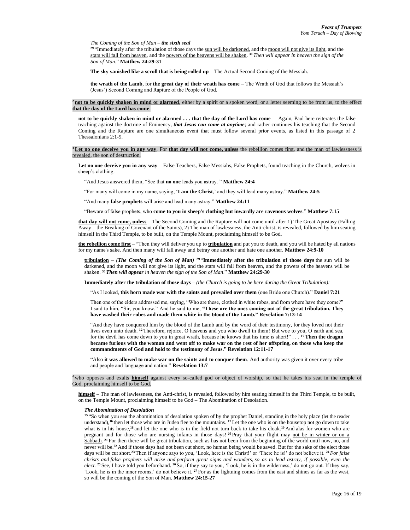*The Coming of the Son of Man – the sixth seal*

<sup>29</sup> "Immediately after the tribulation of those days the sun will be darkened, and the moon will not give its light, and the stars will fall from heaven, and the powers of the heavens will be shaken. **<sup>30</sup>** *Then will appear in heaven the sign of the Son of Man*." **Matthew 24:29-31**

**The sky vanished like a scroll that is being rolled up** – The Actual Second Coming of the Messiah.

**the wrath of the Lamb**, for **the great day of their wrath has come** – The Wrath of God that follows the Messiah's (Jesus') Second Coming and Rapture of the People of God.

**<sup>2</sup> not to be quickly shaken in mind or alarmed**, either by a spirit or a spoken word, or a letter seeming to be from us, to the effect **that the day of the Lord has come**.

**not to be quickly shaken in mind or alarmed . . . that the day of the Lord has come** – Again, Paul here reiterates the false teaching against the doctrine of Eminency, *that Jesus can come at anytime*; and rather continues his teaching that the Second Coming and the Rapture are one simultaneous event that must follow several prior events, as listed in this passage of 2 Thessalonians 2:1-9.

#### **<sup>3</sup>Let no one deceive you in any way**. For **that day will not come, unless** the rebellion comes first, and the man of lawlessness is revealed, the son of destruction,

**Let no one deceive you in any way** – False Teachers, False Messiahs, False Prophets, found teaching in the Church, wolves in sheep's clothing.

"And Jesus answered them, "See that **no one** leads you astray. " **Matthew 24:4**

"For many will come in my name, saying, '**I am the Christ**,' and they will lead many astray." **Matthew 24:5**

"And many **false prophets** will arise and lead many astray." **Matthew 24:11**

"Beware of false prophets, who **come to you in sheep's clothing but inwardly are ravenous wolves**." **Matthew 7:15**

**that day will not come, unless** – The Second Coming and the Rapture will not come until after 1) The Great Apostasy (Falling Away – the Breaking of Covenant of the Saints), 2) The man of lawlessness, the Anti-christ, is revealed, followed by him seating himself in the Third Temple, to be built, on the Temple Mount, proclaiming himself to be God.

**the rebellion come first** – "Then they will deliver you up to **tribulation** and put you to death, and you will be hated by all nations for my name's sake. And then many will fall away and betray one another and hate one another. **Matthew 24:9-10**

**tribulation** – *(The Coming of the Son of Man)* **<sup>29</sup>** "**Immediately after the tribulation of those days** the sun will be darkened, and the moon will not give its light, and the stars will fall from heaven, and the powers of the heavens will be shaken. **<sup>30</sup>** *Then will appear in heaven the sign of the Son of Man*." **Matthew 24:29-30**

**Immediately after the tribulation of those days –** *(the Church is going to be here during the Great Tribulation):*

"As I looked, **this horn made war with the saints and prevailed over them** (one Bride one Church)." **Daniel 7:21**

Then one of the elders addressed me, saying, "Who are these, clothed in white robes, and from where have they come?" I said to him, "Sir, you know." And he said to me, **"These are the ones coming out of the great tribulation. They have washed their robes and made them white in the blood of the Lamb." Revelation 7:13-14**

"And they have conquered him by the blood of the Lamb and by the word of their testimony, for they loved not their lives even unto death. **<sup>12</sup>**Therefore, rejoice, O heavens and you who dwell in them! But woe to you, O earth and sea, for the devil has come down to you in great wrath, because he knows that his time is short!" . . . **<sup>17</sup>Then the dragon became furious with the woman and went off to make war on the rest of her offspring, on those who keep the commandments of God and hold to the testimony of Jesus." Revelation 12:11-17**

"Also **it was allowed to make war on the saints and to conquer them**. And authority was given it over every tribe and people and language and nation." **Revelation 13:7**

who opposes and exalts **himself** against every so-called god or object of worship, so that he takes his seat in the temple of God, proclaiming himself to be God.

**himself** – The man of lawlessness, the Anti-christ, is revealed, followed by him seating himself in the Third Temple, to be built, on the Temple Mount, proclaiming himself to be God – The Abomination of Desolation.

#### *The Abomination of Desolation*

<sup>15</sup> "So when you see the abomination of desolation spoken of by the prophet Daniel, standing in the holy place (let the reader understand),<sup>16</sup> then <u>let those who are in Judea flee to the mountains.</u> <sup>17</sup> Let the one who is on the housetop not go down to take what is in his house,**<sup>18</sup>** and let the one who is in the field not turn back to take his cloak.**<sup>19</sup>** And alas for women who are pregnant and for those who are nursing infants in those days! **<sup>20</sup>** Pray that your flight may not be in winter or on a Sabbath.<sup>21</sup> For then there will be great tribulation, such as has not been from the beginning of the world until now, no, and never will be.**<sup>22</sup>** And if those days had not been cut short, no human being would be saved. But for the sake of the elect those days will be cut short.**<sup>23</sup>**Then if anyone says to you, 'Look, here is the Christ!' or 'There he is!' do not believe it. **<sup>24</sup>** *For false christs and false prophets will arise and perform great signs and wonders, so as to lead astray, if possible, even the elect.* **<sup>25</sup>** See, I have told you beforehand. **<sup>26</sup>** So, if they say to you, 'Look, he is in the wilderness,' do not go out. If they say, 'Look, he is in the inner rooms,' do not believe it. **<sup>27</sup>** For as the lightning comes from the east and shines as far as the west, so will be the coming of the Son of Man. **Matthew 24:15-27**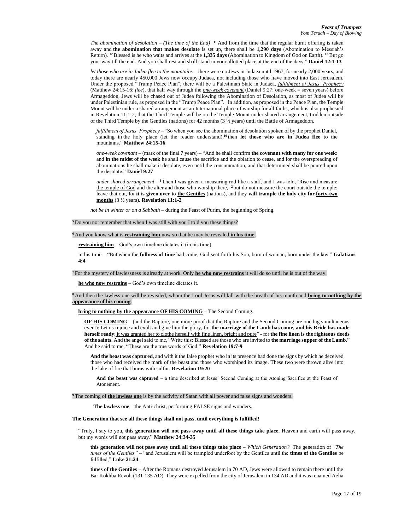*The abomination of desolation – (The time of the End)*  $\frac{11}{2}$  And from the time that the regular burnt offering is taken away and **the abomination that makes desolate** is set up, there shall be **1,290 days** (Abomination to Messiah's Return). **<sup>12</sup>**Blessed is he who waits and arrives at the **1,335 days** (Abomination to Kingdom of God on Earth). **<sup>13</sup>**But go your way till the end. And you shall rest and shall stand in your allotted place at the end of the days." **Daniel 12:1-13**

*let those who are in Judea flee to the mountains* – there were no Jews in Judaea until 1967, for nearly 2,000 years, and today there are nearly 450,000 Jews now occupy Judaea, not including those who have moved into East Jerusalem. Under the proposed "Trump Peace Plan", there will be a Palestinian State in Judaea, *fulfillment of Jesus' Prophecy* (Matthew 24:15-16: *flee*), that half way through the *one-week covenant* (Daniel 9:27: one-week = seven years) before Armageddon, Jews will be chased out of Judea following the Abomination of Desolation, as most of Judea will be under Palestinian rule, as proposed in the "Trump Peace Plan". In addition, as proposed in the Peace Plan, the Temple Mount will be under a shared arrangement as an International place of worship for all faiths, which is also prophesied in Revelation 11:1-2, that the Third Temple will be on the Temple Mount under shared arrangement, trodden outside of the Third Temple by the Gentiles (nations) for 42 months (3 ½ years) until the Battle of Armageddon.

*fulfillment of Jesus' Prophecy* – "So when you see the abomination of desolation spoken of by the prophet Daniel, standing in the holy place (let the reader understand),**<sup>16</sup>** then **let those who are in Judea flee** to the mountains." **Matthew 24:15-16**

*one-week covenant* – (mark of the final 7 years) – "And he shall confirm **the covenant with many for one week**: and **in the midst of the week** he shall cause the sacrifice and the oblation to cease, and for the overspreading of abominations he shall make it desolate, even until the consummation, and that determined shall be poured upon the desolate." **Daniel 9:27**

*under shared arrangement* – **<sup>1</sup>**Then I was given a measuring rod like a staff, and I was told, 'Rise and measure the temple of God and the alter and those who worship there, **<sup>2</sup>** but do not measure the court outside the temple; leave that out, for **it is given over to the Gentile**s (nations), and they **will trample the holy city for forty-two months** (3 ½ years). **Revelation 11:1-2**

*not be in winter or on a Sabbath* – during the Feast of Purim, the beginning of Spring.

**<sup>5</sup>** Do you not remember that when I was still with you I told you these things?

**<sup>6</sup>** And you know what is **restraining him** now so that he may be revealed **in his time**.

**restraining him** – God's own timeline dictates it (in his time).

in his time **–** "But when the **fullness of time** had come, God sent forth his Son, born of woman, born under the law." **Galatians 4:4**

**<sup>7</sup>** For the mystery of lawlessness is already at work. Only **he who now restrains** it will do so until he is out of the way.

**he who now restrains** – God's own timeline dictates it.

**<sup>8</sup>** And then the lawless one will be revealed, whom the Lord Jesus will kill with the breath of his mouth and **bring to nothing by the appearance of his coming**.

**bring to nothing by the appearance OF HIS COMING** – The Second Coming.

**OF HIS COMING** – (and the Rapture, one more proof that the Rapture and the Second Coming are one big simultaneous event): Let us rejoice and exult and give him the glory, for **the marriage of the Lamb has come, and his Bride has made herself ready**; it was granted her to clothe herself with fine linen, bright and pure" - for **the fine linen is the righteous deeds of the saints**. And the angel said to me, "Write this: Blessed are those who are invited to **the marriage supper of the Lamb**." And he said to me, "These are the true words of God." **Revelation 19:7-9**

**And the beast was captured**, and with it the false prophet who in its presence had done the signs by which he deceived those who had received the mark of the beast and those who worshiped its image. These two were thrown alive into the lake of fire that burns with sulfur. **Revelation 19:20**

**And the beast was captured** – a time described at Jesus' Second Coming at the Atoning Sacrifice at the Feast of Atonement.

**<sup>9</sup>** The coming of **the lawless one** is by the activity of Satan with all power and false signs and wonders.

**The lawless one** – the Anti-christ, performing FALSE signs and wonders.

**The Generation that see all these things shall not pass, until everything is fulfilled!**

"Truly, I say to you, **this generation will not pass away until all these things take place.** Heaven and earth will pass away, but my words will not pass away." **Matthew 24:34-35**

**this generation will not pass away until all these things take place** – *Which Generation?* The generation of *"The times of the Gentiles"* – "and Jerusalem will be trampled underfoot by the Gentiles until the **times of the Gentiles** be fulfilled," **Luke 21:24**.

**times of the Gentiles** – After the Romans destroyed Jerusalem in 70 AD, Jews were allowed to remain there until the Bar Kokhba Revolt (131-135 AD). They were expelled from the city of Jerusalem in 134 AD and it was renamed Aelia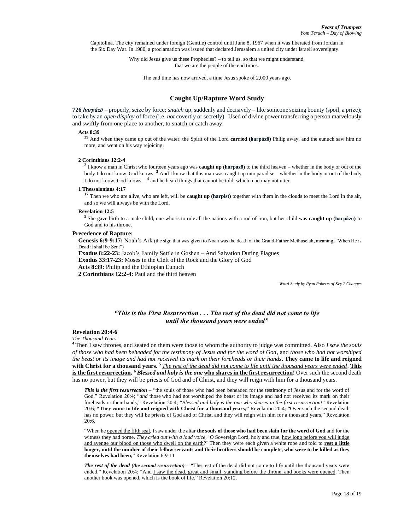Capitolina. The city remained under foreign (Gentile) control until June 8, 1967 when it was liberated from Jordan in the Six Day War. In 1980, a proclamation was issued that declared Jerusalem a united city under Israeli sovereignty.

> Why did Jesus give us these Prophecies? – to tell us, so that we might understand, that we are the people of the end times.

The end time has now arrived, a time Jesus spoke of 2,000 years ago.

# **Caught Up/Rapture Word Study**

**726** *harpázō* – properly, seize by force; *snatch* up, suddenly and decisively – like someone seizing bounty (spoil, a prize); to take by an *open display* of force (i.e. *not* covertly or secretly). Used of divine power transferring a person marvelously and swiftly from one place to another, to snatch or catch away.

# **Acts 8:39**

**<sup>39</sup>** And when they came up out of the water, the Spirit of the Lord **carried (harpázō)** Philip away, and the eunuch saw him no more, and went on his way rejoicing.

#### **2 Corinthians 12:2-4**

**2** I know a man in Christ who fourteen years ago was **caught up (harpázō)** to the third heaven – whether in the body or out of the body I do not know, God knows. **[3](http://biblehub.com/2_corinthians/12-3.htm)** And I know that this man was caught up into paradise – whether in the body or out of the body I do not know, God knows  $-$ <sup>[4](http://biblehub.com/2_corinthians/12-4.htm)</sup> and he heard things that cannot be told, which man may not utter.

#### **1 Thessalonians 4:17**

**<sup>17</sup>** Then we who are alive, who are left, will be **caught up (harpist)** together with them in the clouds to meet the Lord in the air, and so we will always be with the Lord.

#### **Revelation 12:5**

**5** She gave birth to a male child, one who is to rule all the nations with a rod of iron, but her child was **caught up (harpázō)** to God and to his throne.

#### **Precedence of Rapture:**

**Genesis 6:9-9:17:** Noah's Ark (the sign that was given to Noah was the death of the Grand-Father Methuselah, meaning, "When He is Dead it shall be Sent")

**Exodus 8:22-23:** Jacob's Family Settle in Goshen – And Salvation During Plagues

**Exodus 33:17-23:** Moses in the Cleft of the Rock and the Glory of God

**Acts 8:39:** Philip and the Ethiopian Eunuch

**2 Corinthians 12:2-4:** Paul and the third heaven

*Word Study by Ryan Roberts of Key 2 Changes*

# *"This is the First Resurrection . . . The rest of the dead did not come to life until the thousand years were ended"*

# **Revelation 20:4-6**

*The Thousand Years* 

**<sup>4</sup>** Then I saw thrones, and seated on them were those to whom the authority to judge was committed. Also *I saw the souls of those who had been beheaded for the testimony of Jesus and for the word of God*, and *those who had not worshiped the beast or its image and had not received its mark on their foreheads or their hands*. **They came to life and reigned with Christ for a thousand years. <sup>5</sup>** *The rest of the dead did not come to life until the thousand years were ended*. **This is the first resurrection. <sup>6</sup>** *Blessed and holy is the one* **who shares in the first resurrection!** Over such the second death has no power, but they will be priests of God and of Christ, and they will reign with him for a thousand years.

**This is the first resurrection** – "the souls of those who had been beheaded for the testimony of Jesus and for the word of God," Revelation 20:4; "*and* those who had not worshiped the beast or its image and had not received its mark on their foreheads or their hands," Revelation 20:4; "*Blessed and holy is the one who shares in the first resurrection!*" Revelation 20:6; **"They came to life and reigned with Christ for a thousand years,"** Revelation 20:4; "Over such the second death has no power, but they will be priests of God and of Christ, and they will reign with him for a thousand years," Revelation 20:6.

"When he **opened the fifth seal**, I saw under the altar the souls of those who had been slain for the word of God and for the witness they had borne. *They cried out with a loud voice,* 'O Sovereign Lord, holy and true, how long before you will judge and avenge our blood on those who dwell on the earth?' Then they were each given a white robe and told to **rest a little longer, until the number of their fellow servants and their brothers should be complete, who were to be killed as they themselves had been,**" Revelation 6:9-11

*The rest of the dead (the second resurrection)* – "The rest of the dead did not come to life until the thousand years were ended," Revelation 20:4; "And I saw the dead, great and small, standing before the throne, and books were opened. Then another book was opened, which is the book of life," Revelation 20:12.